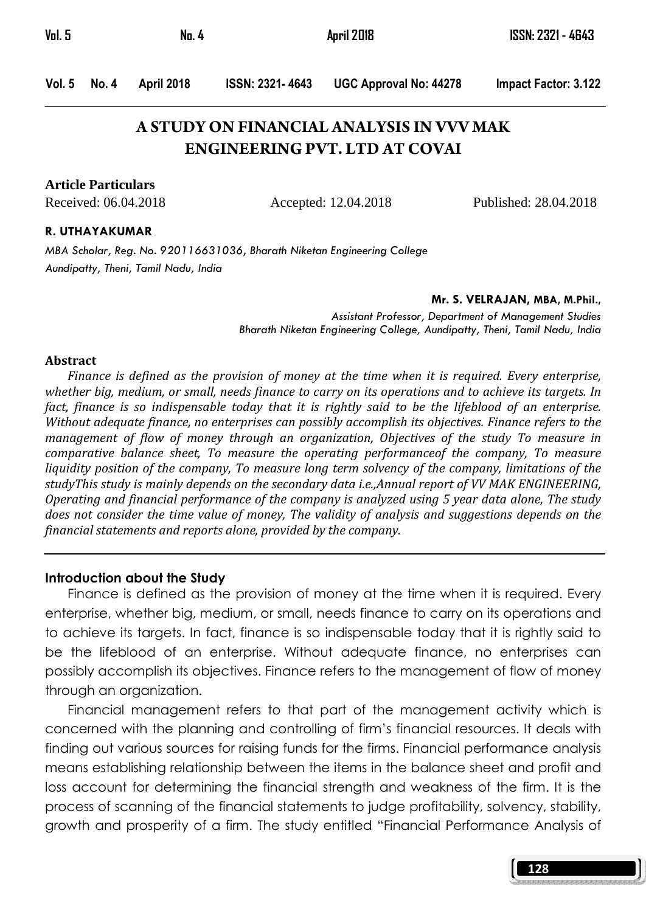| Vol. 5 | No. 4 | April 2018 | ISSN: 2321 - 4643 |  |
|--------|-------|------------|-------------------|--|
|        |       |            |                   |  |
|        |       |            |                   |  |

Vol. 5 No. 4 April 2018 ISSN: 2321- 4643 UGC Approval No: 44278 Impact Factor: 3.122

# **A STUDY ON FINANCIAL ANALYSIS IN VVV MAK ENGINEERING PVT. LTD AT COVAI**

**Article Particulars**

Received: 06.04.2018 Accepted: 12.04.2018 Published: 28.04.2018

#### R. UTHAYAKUMAR

MBA Scholar, Reg. No. 920116631036, Bharath Niketan Engineering College Aundipatty, Theni, Tamil Nadu, India

#### Mr. S. VELRAJAN, MBA, M.Phil.,

Assistant Professor, Department of Management Studies Bharath Niketan Engineering College, Aundipatty, Theni, Tamil Nadu, India

#### Abstract

Finance is defined as the provision of money at the time when it is required. Every enterprise, whether big, medium, or small, needs finance to carry on its operations and to achieve its targets. In fact, finance is so indispensable today that it is rightly said to be the lifeblood of an enterprise. Without adequate finance, no enterprises can possibly accomplish its objectives. Finance refers to the management of flow of money through an organization, Objectives of the study To measure in comparative balance sheet, To measure the operating performanceof the company, To measure liquidity position of the company, To measure long term solvency of the company, limitations of the studyThis study is mainly depends on the secondary data i.e.,Annual report of VV MAK ENGINEERING, Operating and financial performance of the company is analyzed using 5 year data alone, The study does not consider the time value of money, The validity of analysis and suggestions depends on the financial statements and reports alone, provided by the company.

#### Introduction about the Study

 Finance is defined as the provision of money at the time when it is required. Every enterprise, whether big, medium, or small, needs finance to carry on its operations and to achieve its targets. In fact, finance is so indispensable today that it is rightly said to be the lifeblood of an enterprise. Without adequate finance, no enterprises can possibly accomplish its objectives. Finance refers to the management of flow of money through an organization.

 Financial management refers to that part of the management activity which is concerned with the planning and controlling of firm's financial resources. It deals with finding out various sources for raising funds for the firms. Financial performance analysis means establishing relationship between the items in the balance sheet and profit and loss account for determining the financial strength and weakness of the firm. It is the process of scanning of the financial statements to judge profitability, solvency, stability, growth and prosperity of a firm. The study entitled "Financial Performance Analysis of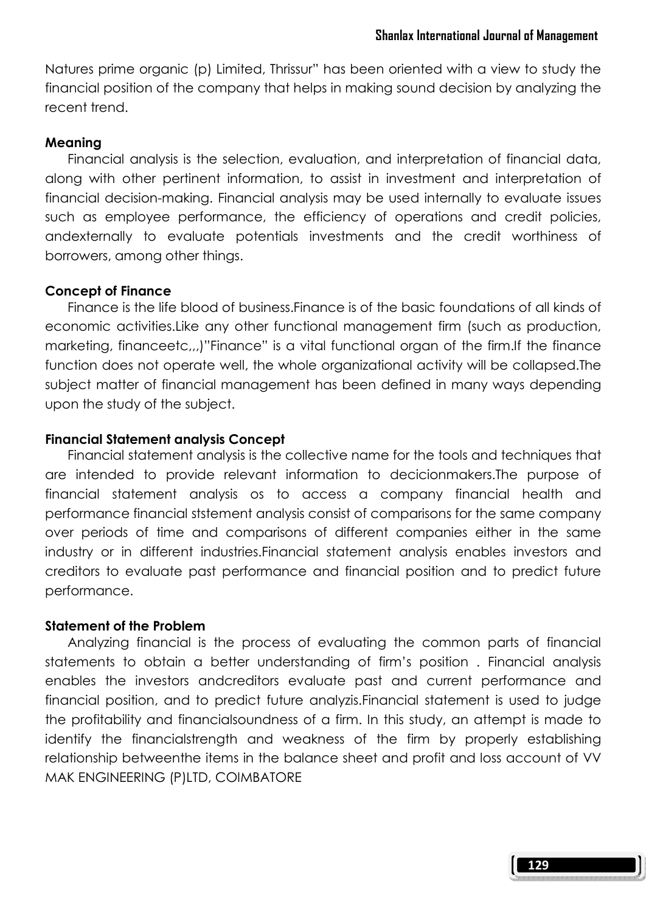Natures prime organic (p) Limited, Thrissur" has been oriented with a view to study the financial position of the company that helps in making sound decision by analyzing the recent trend.

#### Meaning

 Financial analysis is the selection, evaluation, and interpretation of financial data, along with other pertinent information, to assist in investment and interpretation of financial decision-making. Financial analysis may be used internally to evaluate issues such as employee performance, the efficiency of operations and credit policies, andexternally to evaluate potentials investments and the credit worthiness of borrowers, among other things.

#### Concept of Finance

 Finance is the life blood of business.Finance is of the basic foundations of all kinds of economic activities.Like any other functional management firm (such as production, marketing, financeetc,,,)"Finance" is a vital functional organ of the firm.If the finance function does not operate well, the whole organizational activity will be collapsed.The subject matter of financial management has been defined in many ways depending upon the study of the subject.

#### Financial Statement analysis Concept

 Financial statement analysis is the collective name for the tools and techniques that are intended to provide relevant information to decicionmakers.The purpose of financial statement analysis os to access a company financial health and performance financial ststement analysis consist of comparisons for the same company over periods of time and comparisons of different companies either in the same industry or in different industries.Financial statement analysis enables investors and creditors to evaluate past performance and financial position and to predict future performance.

#### Statement of the Problem

 Analyzing financial is the process of evaluating the common parts of financial statements to obtain a better understanding of firm's position . Financial analysis enables the investors andcreditors evaluate past and current performance and financial position, and to predict future analyzis.Financial statement is used to judge the profitability and financialsoundness of a firm. In this study, an attempt is made to identify the financialstrength and weakness of the firm by properly establishing relationship betweenthe items in the balance sheet and profit and loss account of VV MAK ENGINEERING (P)LTD, COIMBATORE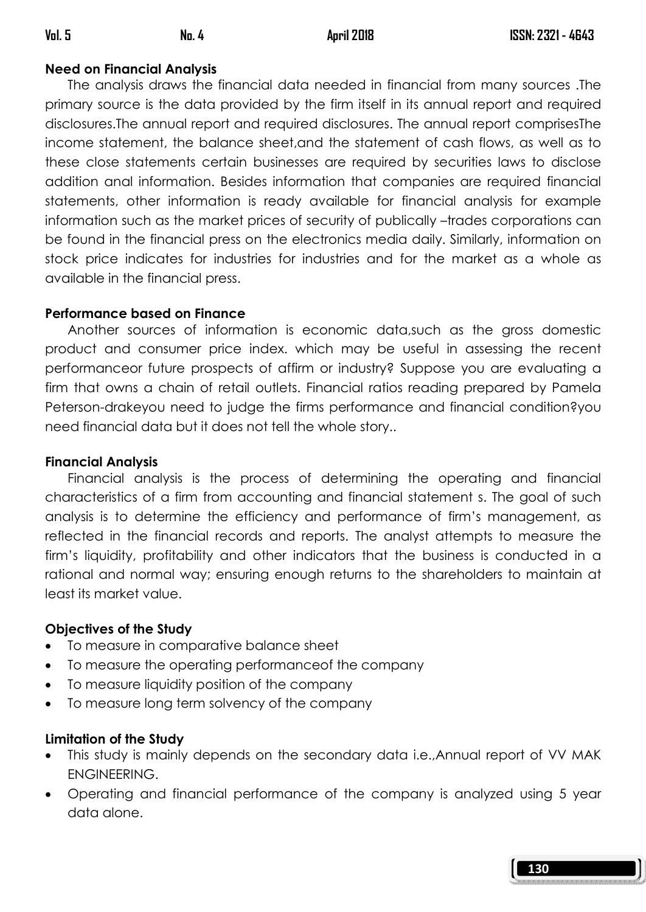## Need on Financial Analysis

 The analysis draws the financial data needed in financial from many sources .The primary source is the data provided by the firm itself in its annual report and required disclosures.The annual report and required disclosures. The annual report comprisesThe income statement, the balance sheet,and the statement of cash flows, as well as to these close statements certain businesses are required by securities laws to disclose addition anal information. Besides information that companies are required financial statements, other information is ready available for financial analysis for example information such as the market prices of security of publically –trades corporations can be found in the financial press on the electronics media daily. Similarly, information on stock price indicates for industries for industries and for the market as a whole as available in the financial press.

## Performance based on Finance

 Another sources of information is economic data,such as the gross domestic product and consumer price index. which may be useful in assessing the recent performanceor future prospects of affirm or industry? Suppose you are evaluating a firm that owns a chain of retail outlets. Financial ratios reading prepared by Pamela Peterson-drakeyou need to judge the firms performance and financial condition?you need financial data but it does not tell the whole story..

## Financial Analysis

 Financial analysis is the process of determining the operating and financial characteristics of a firm from accounting and financial statement s. The goal of such analysis is to determine the efficiency and performance of firm's management, as reflected in the financial records and reports. The analyst attempts to measure the firm's liquidity, profitability and other indicators that the business is conducted in a rational and normal way; ensuring enough returns to the shareholders to maintain at least its market value.

## Objectives of the Study

- To measure in comparative balance sheet
- To measure the operating performanceof the company
- To measure liquidity position of the company
- To measure long term solvency of the company

# Limitation of the Study

- This study is mainly depends on the secondary data i.e.,Annual report of VV MAK ENGINEERING.
- Operating and financial performance of the company is analyzed using 5 year data alone.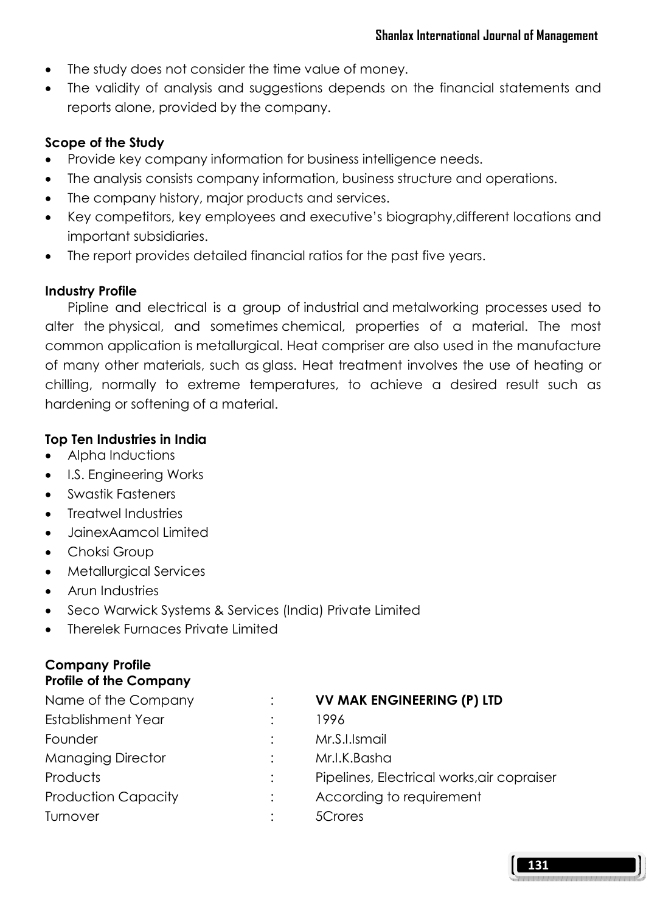- The study does not consider the time value of money.
- The validity of analysis and suggestions depends on the financial statements and reports alone, provided by the company.

## Scope of the Study

- Provide key company information for business intelligence needs.
- The analysis consists company information, business structure and operations.
- The company history, major products and services.
- Key competitors, key employees and executive's biography,different locations and important subsidiaries.
- The report provides detailed financial ratios for the past five years.

### Industry Profile

 Pipline and electrical is a group of industrial and metalworking processes used to alter the physical, and sometimes chemical, properties of a material. The most common application is metallurgical. Heat compriser are also used in the manufacture of many other materials, such as glass. Heat treatment involves the use of heating or chilling, normally to extreme temperatures, to achieve a desired result such as hardening or softening of a material.

## Top Ten Industries in India

- Alpha Inductions
- I.S. Engineering Works
- Swastik Fasteners
- Treatwel Industries
- JainexAamcol Limited
- Choksi Group
- Metallurgical Services
- Arun Industries
- Seco Warwick Systems & Services (India) Private Limited
- Therelek Furnaces Private Limited

### Company Profile Profile of the Company

| Name of the Company        | <b>VV MAK ENGINEERING (P) LTD</b>          |
|----------------------------|--------------------------------------------|
| <b>Establishment Year</b>  | 1996                                       |
| Founder                    | Mr.S.I.Ismail                              |
| <b>Managing Director</b>   | Mr.I.K.Basha                               |
| Products                   | Pipelines, Electrical works, air copraiser |
| <b>Production Capacity</b> | According to requirement                   |
| Turnover                   | 5Crores                                    |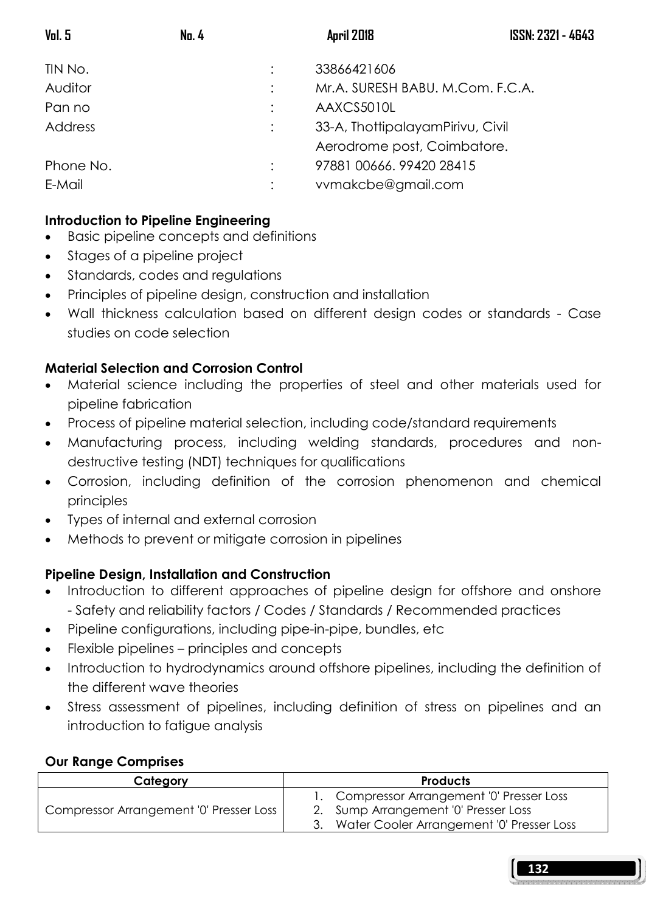| <b>ISSN: 2321 - 4643</b> |
|--------------------------|
|                          |
|                          |
|                          |
|                          |
|                          |
|                          |
|                          |
|                          |

## Introduction to Pipeline Engineering

- Basic pipeline concepts and definitions
- Stages of a pipeline project
- Standards, codes and regulations
- Principles of pipeline design, construction and installation
- Wall thickness calculation based on different design codes or standards Case studies on code selection

## Material Selection and Corrosion Control

- Material science including the properties of steel and other materials used for pipeline fabrication
- Process of pipeline material selection, including code/standard requirements
- Manufacturing process, including welding standards, procedures and nondestructive testing (NDT) techniques for qualifications
- Corrosion, including definition of the corrosion phenomenon and chemical principles
- Types of internal and external corrosion
- Methods to prevent or mitigate corrosion in pipelines

## Pipeline Design, Installation and Construction

- Introduction to different approaches of pipeline design for offshore and onshore - Safety and reliability factors / Codes / Standards / Recommended practices
- Pipeline configurations, including pipe-in-pipe, bundles, etc
- Flexible pipelines principles and concepts
- Introduction to hydrodynamics around offshore pipelines, including the definition of the different wave theories
- Stress assessment of pipelines, including definition of stress on pipelines and an introduction to fatigue analysis

### Our Range Comprises

| Category                                |  | <b>Products</b>                            |  |  |
|-----------------------------------------|--|--------------------------------------------|--|--|
|                                         |  | 1. Compressor Arrangement '0' Presser Loss |  |  |
| Compressor Arrangement '0' Presser Loss |  | 2. Sump Arrangement '0' Presser Loss       |  |  |
|                                         |  | Water Cooler Arrangement '0' Presser Loss  |  |  |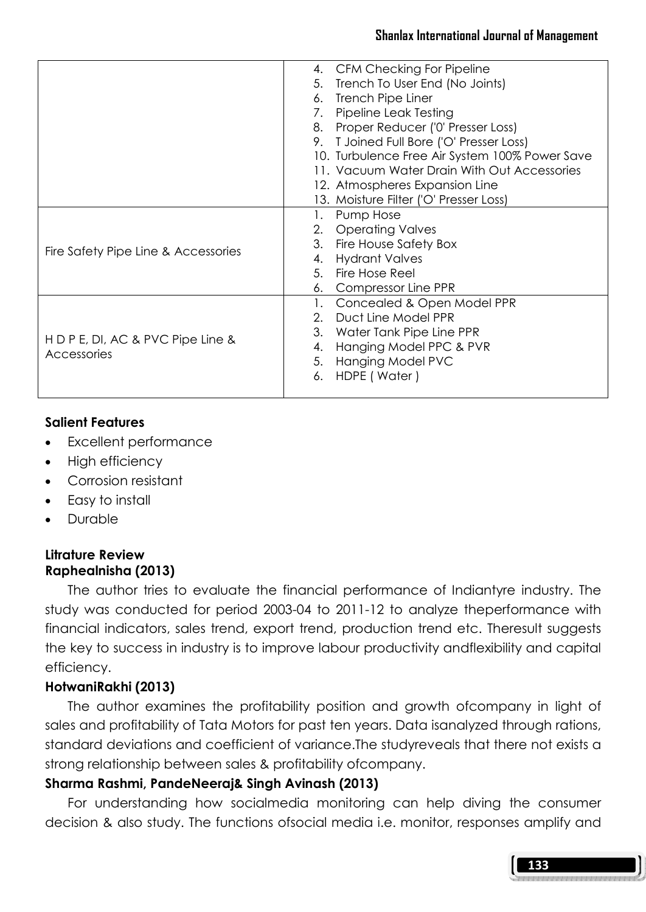#### Shanlax International Journal of Management

|                                     | 4. CFM Checking For Pipeline                   |
|-------------------------------------|------------------------------------------------|
|                                     | 5. Trench To User End (No Joints)              |
|                                     | 6. Trench Pipe Liner                           |
|                                     | 7. Pipeline Leak Testing                       |
|                                     | 8. Proper Reducer ('0' Presser Loss)           |
|                                     | 9. T Joined Full Bore ('O' Presser Loss)       |
|                                     | 10. Turbulence Free Air System 100% Power Save |
|                                     | 11. Vacuum Water Drain With Out Accessories    |
|                                     | 12. Atmospheres Expansion Line                 |
|                                     | 13. Moisture Filter ('O' Presser Loss)         |
|                                     | Pump Hose<br>1.                                |
|                                     | 2. Operating Valves                            |
|                                     | 3. Fire House Safety Box                       |
| Fire Safety Pipe Line & Accessories | 4. Hydrant Valves                              |
|                                     | 5. Fire Hose Reel                              |
|                                     | 6. Compressor Line PPR                         |
|                                     | 1. Concealed & Open Model PPR                  |
|                                     | 2. Duct Line Model PPR                         |
|                                     | 3. Water Tank Pipe Line PPR                    |
| H D P E, DI, AC & PVC Pipe Line &   | 4. Hanging Model PPC & PVR                     |
| <b>Accessories</b>                  | 5. Hanging Model PVC                           |
|                                     | 6. HDPE (Water)                                |
|                                     |                                                |
|                                     |                                                |

### Salient Features

- Excellent performance
- High efficiency
- Corrosion resistant
- Easy to install
- Durable

### Litrature Review Raphealnisha (2013)

 The author tries to evaluate the financial performance of Indiantyre industry. The study was conducted for period 2003-04 to 2011-12 to analyze theperformance with financial indicators, sales trend, export trend, production trend etc. Theresult suggests the key to success in industry is to improve labour productivity andflexibility and capital efficiency.

## HotwaniRakhi (2013)

 The author examines the profitability position and growth ofcompany in light of sales and profitability of Tata Motors for past ten years. Data isanalyzed through rations, standard deviations and coefficient of variance.The studyreveals that there not exists a strong relationship between sales & profitability ofcompany.

## Sharma Rashmi, PandeNeeraj& Singh Avinash (2013)

 For understanding how socialmedia monitoring can help diving the consumer decision & also study. The functions ofsocial media i.e. monitor, responses amplify and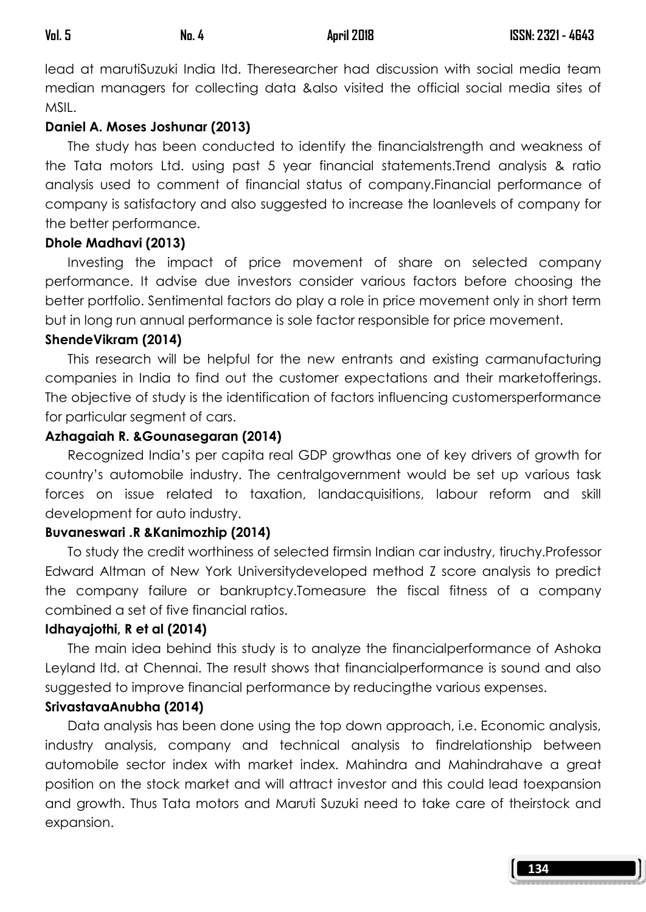lead at marutiSuzuki India ltd. Theresearcher had discussion with social media team median managers for collecting data &also visited the official social media sites of MSIL.

### Daniel A. Moses Joshunar (2013)

 The study has been conducted to identify the financialstrength and weakness of the Tata motors Ltd. using past 5 year financial statements.Trend analysis & ratio analysis used to comment of financial status of company.Financial performance of company is satisfactory and also suggested to increase the loanlevels of company for the better performance.

### Dhole Madhavi (2013)

 Investing the impact of price movement of share on selected company performance. It advise due investors consider various factors before choosing the better portfolio. Sentimental factors do play a role in price movement only in short term but in long run annual performance is sole factor responsible for price movement.

### ShendeVikram (2014)

 This research will be helpful for the new entrants and existing carmanufacturing companies in India to find out the customer expectations and their marketofferings. The objective of study is the identification of factors influencing customersperformance for particular segment of cars.

### Azhagaiah R. &Gounasegaran (2014)

 Recognized India's per capita real GDP growthas one of key drivers of growth for country's automobile industry. The centralgovernment would be set up various task forces on issue related to taxation, landacquisitions, labour reform and skill development for auto industry.

## Buvaneswari .R &Kanimozhip (2014)

 To study the credit worthiness of selected firmsin Indian car industry, tiruchy.Professor Edward Altman of New York Universitydeveloped method Z score analysis to predict the company failure or bankruptcy.Tomeasure the fiscal fitness of a company combined a set of five financial ratios.

### Idhayajothi, R et al (2014)

 The main idea behind this study is to analyze the financialperformance of Ashoka Leyland ltd. at Chennai. The result shows that financialperformance is sound and also suggested to improve financial performance by reducingthe various expenses.

### SrivastavaAnubha (2014)

 Data analysis has been done using the top down approach, i.e. Economic analysis, industry analysis, company and technical analysis to findrelationship between automobile sector index with market index. Mahindra and Mahindrahave a great position on the stock market and will attract investor and this could lead toexpansion and growth. Thus Tata motors and Maruti Suzuki need to take care of theirstock and expansion.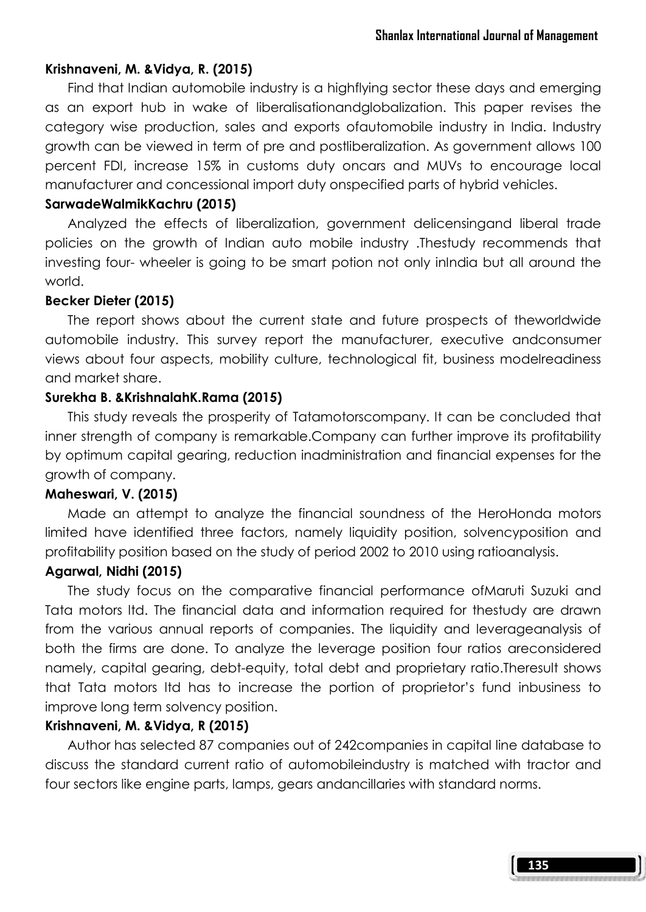### Krishnaveni, M. &Vidya, R. (2015)

 Find that Indian automobile industry is a highflying sector these days and emerging as an export hub in wake of liberalisationandglobalization. This paper revises the category wise production, sales and exports ofautomobile industry in India. Industry growth can be viewed in term of pre and postliberalization. As government allows 100 percent FDI, increase 15% in customs duty oncars and MUVs to encourage local manufacturer and concessional import duty onspecified parts of hybrid vehicles.

#### SarwadeWalmikKachru (2015)

 Analyzed the effects of liberalization, government delicensingand liberal trade policies on the growth of Indian auto mobile industry .Thestudy recommends that investing four- wheeler is going to be smart potion not only inIndia but all around the world.

#### Becker Dieter (2015)

 The report shows about the current state and future prospects of theworldwide automobile industry. This survey report the manufacturer, executive andconsumer views about four aspects, mobility culture, technological fit, business modelreadiness and market share.

#### Surekha B. &KrishnalahK.Rama (2015)

 This study reveals the prosperity of Tatamotorscompany. It can be concluded that inner strength of company is remarkable.Company can further improve its profitability by optimum capital gearing, reduction inadministration and financial expenses for the growth of company.

#### Maheswari, V. (2015)

 Made an attempt to analyze the financial soundness of the HeroHonda motors limited have identified three factors, namely liquidity position, solvencyposition and profitability position based on the study of period 2002 to 2010 using ratioanalysis.

#### Agarwal, Nidhi (2015)

 The study focus on the comparative financial performance ofMaruti Suzuki and Tata motors ltd. The financial data and information required for thestudy are drawn from the various annual reports of companies. The liquidity and leverageanalysis of both the firms are done. To analyze the leverage position four ratios areconsidered namely, capital gearing, debt-equity, total debt and proprietary ratio.Theresult shows that Tata motors ltd has to increase the portion of proprietor's fund inbusiness to improve long term solvency position.

#### Krishnaveni, M. &Vidya, R (2015)

 Author has selected 87 companies out of 242companies in capital line database to discuss the standard current ratio of automobileindustry is matched with tractor and four sectors like engine parts, lamps, gears andancillaries with standard norms.